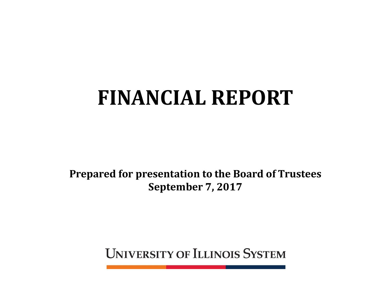# **FINANCIAL REPORT**

**Prepared for presentation to the Board of Trustees September 7, 2017**

**UNIVERSITY OF ILLINOIS SYSTEM**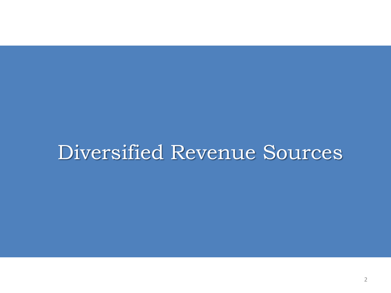## Diversified Revenue Sources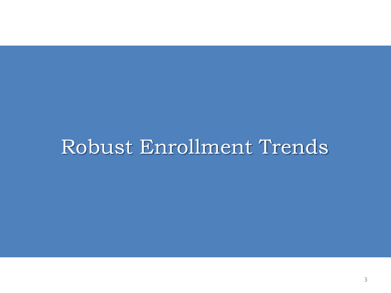## Robust Enrollment Trends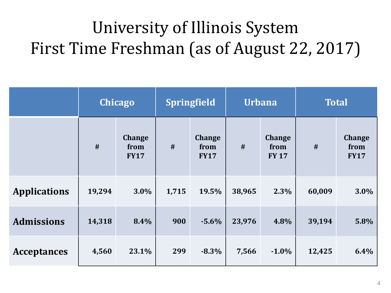## University of Illinois System First Time Freshman (as of August 22, 2017)

|                     |        | <b>Chicago</b>                       |       | <b>Springfield</b>                   |        | <b>Urbana</b>                         |        | <b>Total</b>                         |  |
|---------------------|--------|--------------------------------------|-------|--------------------------------------|--------|---------------------------------------|--------|--------------------------------------|--|
|                     | #      | <b>Change</b><br>from<br><b>FY17</b> | #     | <b>Change</b><br>from<br><b>FY17</b> | #      | <b>Change</b><br>from<br><b>FY 17</b> | #      | <b>Change</b><br>from<br><b>FY17</b> |  |
| <b>Applications</b> | 19,294 | 3.0%                                 | 1,715 | 19.5%                                | 38,965 | 2.3%                                  | 60,009 | 3.0%                                 |  |
| <b>Admissions</b>   | 14,318 | 8.4%                                 | 900   | $-5.6%$                              | 23,976 | 4.8%                                  | 39,194 | 5.8%                                 |  |
| <b>Acceptances</b>  | 4,560  | 23.1%                                | 299   | $-8.3%$                              | 7,566  | $-1.0\%$                              | 12,425 | 6.4%                                 |  |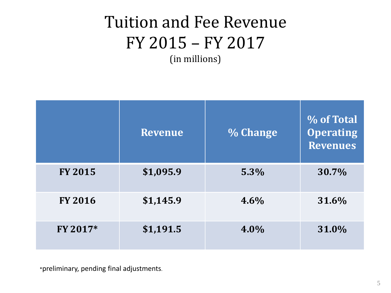### Tuition and Fee Revenue FY 2015 – FY 2017 (in millions)

|                | <b>Revenue</b> | % Change | % of Total<br><b>Operating</b><br><b>Revenues</b> |
|----------------|----------------|----------|---------------------------------------------------|
| <b>FY 2015</b> | \$1,095.9      | 5.3%     | 30.7%                                             |
| <b>FY 2016</b> | \$1,145.9      | 4.6%     | 31.6%                                             |
| FY 2017*       | \$1,191.5      | 4.0%     | 31.0%                                             |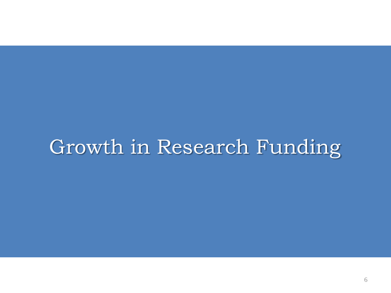## Growth in Research Funding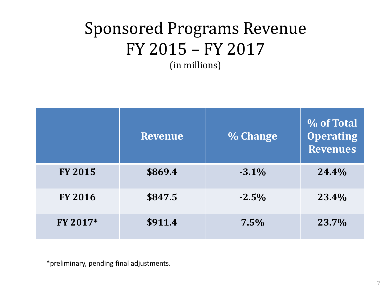## Sponsored Programs Revenue FY 2015 – FY 2017

(in millions)

|                | <b>Revenue</b> | % Change | % of Total<br><b>Operating</b><br><b>Revenues</b> |
|----------------|----------------|----------|---------------------------------------------------|
| <b>FY 2015</b> | \$869.4        | $-3.1%$  | 24.4%                                             |
| <b>FY 2016</b> | \$847.5        | $-2.5%$  | 23.4%                                             |
| FY 2017*       | \$911.4        | 7.5%     | 23.7%                                             |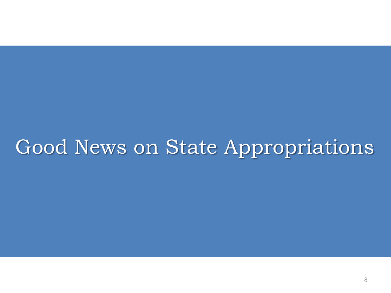## Good News on State Appropriations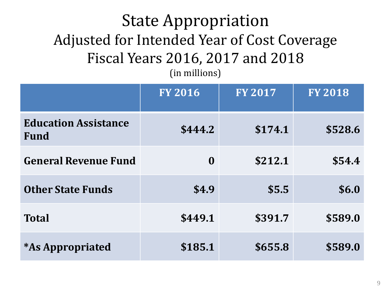#### State Appropriation Adjusted for Intended Year of Cost Coverage Fiscal Years 2016, 2017 and 2018 (in millions)

|                                            | <b>FY 2016</b> | <b>FY 2017</b> | <b>FY 2018</b> |
|--------------------------------------------|----------------|----------------|----------------|
| <b>Education Assistance</b><br><b>Fund</b> | \$444.2        | \$174.1        | \$528.6        |
| <b>General Revenue Fund</b>                | $\bf{0}$       | \$212.1        | \$54.4         |
| <b>Other State Funds</b>                   | \$4.9          | \$5.5          | \$6.0          |
| <b>Total</b>                               | \$449.1        | \$391.7        | \$589.0        |
| <i><b>*As Appropriated</b></i>             | \$185.1        | \$655.8        | \$589.0        |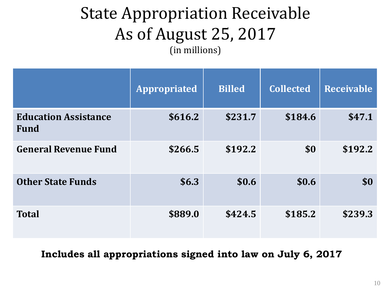### State Appropriation Receivable As of August 25, 2017 (in millions)

|                                            | <b>Appropriated</b> | <b>Billed</b> | <b>Collected</b> | <b>Receivable</b> |
|--------------------------------------------|---------------------|---------------|------------------|-------------------|
| <b>Education Assistance</b><br><b>Fund</b> | \$616.2             | \$231.7       | \$184.6          | \$47.1            |
| <b>General Revenue Fund</b>                | \$266.5             | \$192.2       | \$0              | \$192.2           |
| <b>Other State Funds</b>                   | \$6.3\$             | \$0.6         | \$0.6            | \$0               |
| <b>Total</b>                               | \$889.0             | \$424.5       | \$185.2          | \$239.3           |

**Includes all appropriations signed into law on July 6, 2017**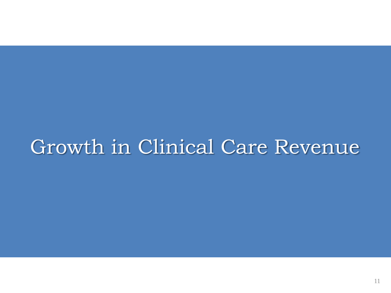## Growth in Clinical Care Revenue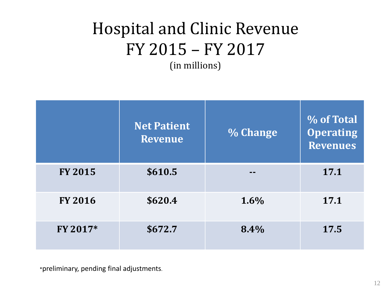## Hospital and Clinic Revenue FY 2015 – FY 2017

(in millions)

|                | <b>Net Patient</b><br><b>Revenue</b> | % Change | % of Total<br><b>Operating</b><br><b>Revenues</b> |
|----------------|--------------------------------------|----------|---------------------------------------------------|
| <b>FY 2015</b> | \$610.5                              |          | 17.1                                              |
| <b>FY 2016</b> | \$620.4                              | 1.6%     | 17.1                                              |
| FY 2017*       | \$672.7                              | 8.4%     | 17.5                                              |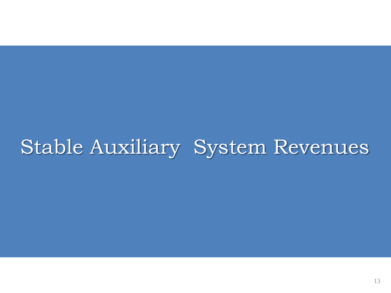## Stable Auxiliary System Revenues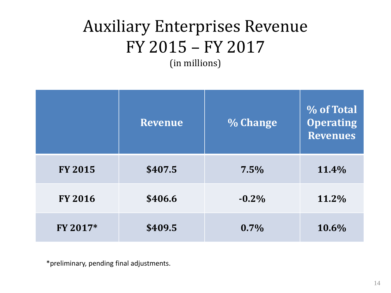## Auxiliary Enterprises Revenue FY 2015 – FY 2017 (in millions)

|                | Revenue | % Change | % of Total<br><b>Operating</b><br><b>Revenues</b> |
|----------------|---------|----------|---------------------------------------------------|
| <b>FY 2015</b> | \$407.5 | 7.5%     | 11.4%                                             |
| <b>FY 2016</b> | \$406.6 | $-0.2\%$ | 11.2%                                             |
| FY 2017*       | \$409.5 | 0.7%     | 10.6%                                             |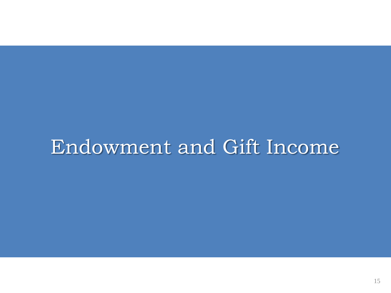## Endowment and Gift Income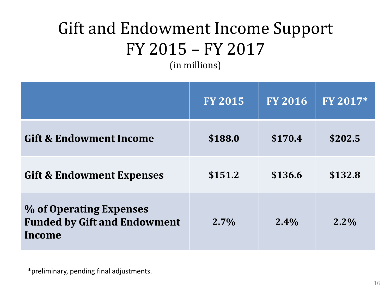## Gift and Endowment Income Support FY 2015 – FY 2017

(in millions)

|                                                                          | <b>FY 2015</b> | <b>FY 2016</b> | FY 2017* |
|--------------------------------------------------------------------------|----------------|----------------|----------|
| <b>Gift &amp; Endowment Income</b>                                       | \$188.0        | \$170.4        | \$202.5  |
| <b>Gift &amp; Endowment Expenses</b>                                     | \$151.2        | \$136.6        | \$132.8  |
| % of Operating Expenses<br><b>Funded by Gift and Endowment</b><br>Income | $2.7\%$        | $2.4\%$        | $2.2\%$  |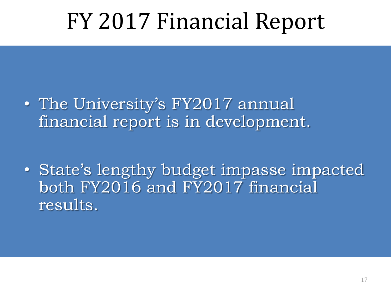# FY 2017 Financial Report

• The University's FY2017 annual financial report is in development.

• State's lengthy budget impasse impacted both FY2016 and FY2017 financial results.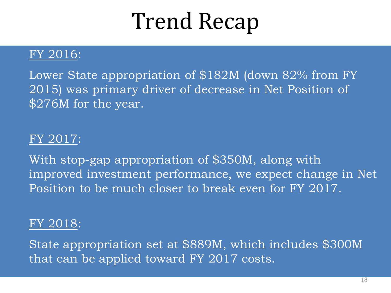# Trend Recap

#### FY 2016:

Lower State appropriation of \$182M (down 82% from FY 2015) was primary driver of decrease in Net Position of \$276M for the year.

#### FY 2017:

With stop-gap appropriation of \$350M, along with improved investment performance, we expect change in Net Position to be much closer to break even for FY 2017.

#### FY 2018:

State appropriation set at \$889M, which includes \$300M that can be applied toward FY 2017 costs.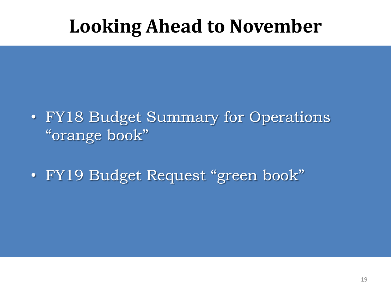## **Looking Ahead to November**

- FY18 Budget Summary for Operations "orange book"
- FY19 Budget Request "green book"